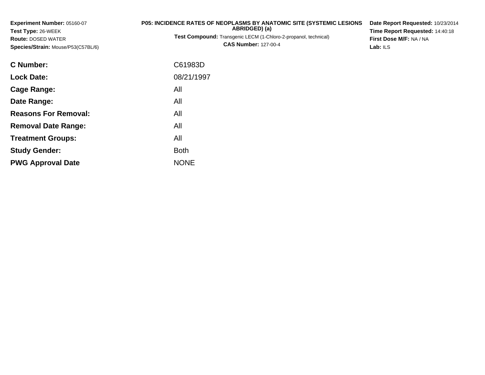| Experiment Number: 05160-07<br><b>Test Type: 26-WEEK</b><br><b>Route: DOSED WATER</b><br>Species/Strain: Mouse/P53(C57BL/6) | P05: INCIDENCE RATES OF NEOPLASMS BY ANATOMIC SITE (SYSTEMIC LESIONS<br>ABRIDGED) (a)<br>Test Compound: Transgenic LECM (1-Chloro-2-propanol, technical)<br><b>CAS Number: 127-00-4</b> | Date Report Requested: 10/23/2014<br>Time Report Requested: 14:40:18<br>First Dose M/F: NA / NA<br>Lab: $ILS$ |
|-----------------------------------------------------------------------------------------------------------------------------|-----------------------------------------------------------------------------------------------------------------------------------------------------------------------------------------|---------------------------------------------------------------------------------------------------------------|
| C Number:                                                                                                                   | C61983D                                                                                                                                                                                 |                                                                                                               |
| <b>Lock Date:</b>                                                                                                           | 08/21/1997                                                                                                                                                                              |                                                                                                               |
| <b>Cage Range:</b>                                                                                                          | All                                                                                                                                                                                     |                                                                                                               |
| Date Range:                                                                                                                 | All                                                                                                                                                                                     |                                                                                                               |
| <b>Reasons For Removal:</b>                                                                                                 | All                                                                                                                                                                                     |                                                                                                               |
| <b>Removal Date Range:</b>                                                                                                  | All                                                                                                                                                                                     |                                                                                                               |
| <b>Treatment Groups:</b>                                                                                                    | All                                                                                                                                                                                     |                                                                                                               |
| <b>Study Gender:</b>                                                                                                        | <b>Both</b>                                                                                                                                                                             |                                                                                                               |

e NONE

**PWG Approval Date**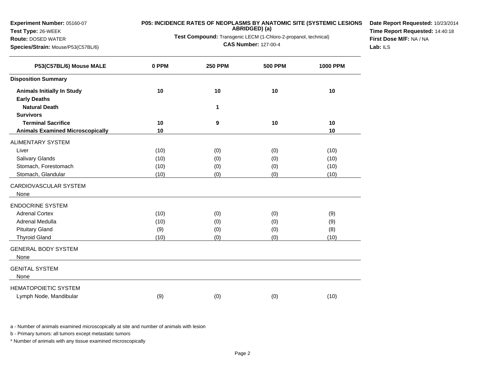**Experiment Number:** 05160-07

#### **Test Type:** 26-WEEK

#### **Route:** DOSED WATER

**Species/Strain:** Mouse/P53(C57BL/6)

# **P05: INCIDENCE RATES OF NEOPLASMS BY ANATOMIC SITE (SYSTEMIC LESIONS ABRIDGED) (a)**

**Test Compound:** Transgenic LECM (1-Chloro-2-propanol, technical)

**CAS Number:** 127-00-4

**Date Report Requested:** 10/23/2014**Time Report Requested:** 14:40:18**First Dose M/F:** NA / NA**Lab:** ILS

| P53(C57BL/6) Mouse MALE                 | 0 PPM | <b>250 PPM</b> | <b>500 PPM</b> | <b>1000 PPM</b> |
|-----------------------------------------|-------|----------------|----------------|-----------------|
| <b>Disposition Summary</b>              |       |                |                |                 |
| <b>Animals Initially In Study</b>       | 10    | 10             | 10             | 10              |
| <b>Early Deaths</b>                     |       |                |                |                 |
| <b>Natural Death</b>                    |       | 1              |                |                 |
| <b>Survivors</b>                        |       |                |                |                 |
| <b>Terminal Sacrifice</b>               | 10    | 9              | 10             | 10              |
| <b>Animals Examined Microscopically</b> | 10    |                |                | 10              |
| <b>ALIMENTARY SYSTEM</b>                |       |                |                |                 |
| Liver                                   | (10)  | (0)            | (0)            | (10)            |
| Salivary Glands                         | (10)  | (0)            | (0)            | (10)            |
| Stomach, Forestomach                    | (10)  | (0)            | (0)            | (10)            |
| Stomach, Glandular                      | (10)  | (0)            | (0)            | (10)            |
| CARDIOVASCULAR SYSTEM                   |       |                |                |                 |
| None                                    |       |                |                |                 |
| <b>ENDOCRINE SYSTEM</b>                 |       |                |                |                 |
| <b>Adrenal Cortex</b>                   | (10)  | (0)            | (0)            | (9)             |
| Adrenal Medulla                         | (10)  | (0)            | (0)            | (9)             |
| <b>Pituitary Gland</b>                  | (9)   | (0)            | (0)            | (8)             |
| <b>Thyroid Gland</b>                    | (10)  | (0)            | (0)            | (10)            |
| <b>GENERAL BODY SYSTEM</b>              |       |                |                |                 |
| None                                    |       |                |                |                 |
| <b>GENITAL SYSTEM</b>                   |       |                |                |                 |
| None                                    |       |                |                |                 |
| <b>HEMATOPOIETIC SYSTEM</b>             |       |                |                |                 |
| Lymph Node, Mandibular                  | (9)   | (0)            | (0)            | (10)            |
|                                         |       |                |                |                 |

a - Number of animals examined microscopically at site and number of animals with lesion

b - Primary tumors: all tumors except metastatic tumors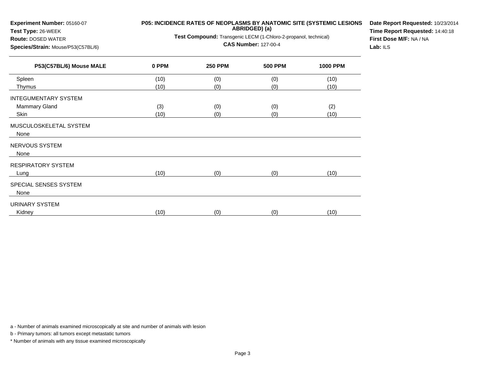| Experiment Number: 05160-07<br>Test Type: 26-WEEK | P05: INCIDENCE RATES OF NEOPLASMS BY ANATOMIC SITE (SYSTEMIC LESIONS | Date Report Requested: 10/23/20<br>Time Report Requested: 14:40:18 |                |                 |  |  |
|---------------------------------------------------|----------------------------------------------------------------------|--------------------------------------------------------------------|----------------|-----------------|--|--|
| Route: DOSED WATER                                |                                                                      | Test Compound: Transgenic LECM (1-Chloro-2-propanol, technical)    |                |                 |  |  |
| Species/Strain: Mouse/P53(C57BL/6)                |                                                                      | First Dose M/F: NA / NA<br>Lab: ILS                                |                |                 |  |  |
| P53(C57BL/6) Mouse MALE                           | 0 PPM                                                                | <b>250 PPM</b>                                                     | <b>500 PPM</b> | <b>1000 PPM</b> |  |  |
| Spleen                                            | (10)                                                                 | (0)                                                                | (0)            | (10)            |  |  |
| Thymus                                            | (10)                                                                 | (0)                                                                | (0)            | (10)            |  |  |
| INTEGUMENTARY SYSTEM                              |                                                                      |                                                                    |                |                 |  |  |
| <b>Mammary Gland</b>                              | (3)                                                                  | (0)                                                                | (0)            | (2)             |  |  |
| <b>Skin</b>                                       | (10)                                                                 | (0)                                                                | (0)            | (10)            |  |  |
| MUSCULOSKELETAL SYSTEM<br>None                    |                                                                      |                                                                    |                |                 |  |  |
| NERVOUS SYSTEM<br>None                            |                                                                      |                                                                    |                |                 |  |  |
| RESPIRATORY SYSTEM                                |                                                                      |                                                                    |                |                 |  |  |
| Lung                                              | (10)                                                                 | (0)                                                                | (0)            | (10)            |  |  |
| SPECIAL SENSES SYSTEM                             |                                                                      |                                                                    |                |                 |  |  |
| None                                              |                                                                      |                                                                    |                |                 |  |  |
| URINARY SYSTEM                                    |                                                                      |                                                                    |                |                 |  |  |
| Kidney                                            | (10)                                                                 | (0)                                                                | (0)            | (10)            |  |  |

**Date Report Requested:** 10/23/2014

a - Number of animals examined microscopically at site and number of animals with lesion

b - Primary tumors: all tumors except metastatic tumors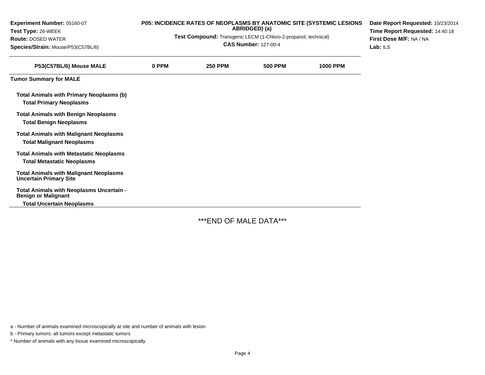| Experiment Number: 05160-07<br>Test Type: 26-WEEK                                   | P05: INCIDENCE RATES OF NEOPLASMS BY ANATOMIC SITE (SYSTEMIC LESIONS<br>ABRIDGED) (a) |                |                |                 | Date Report Requested: 10/23/2014<br>Time Report Requested: 14:40:18<br>First Dose M/F: NA / NA<br>Lab: $ILS$ |
|-------------------------------------------------------------------------------------|---------------------------------------------------------------------------------------|----------------|----------------|-----------------|---------------------------------------------------------------------------------------------------------------|
| <b>Route: DOSED WATER</b>                                                           | Test Compound: Transgenic LECM (1-Chloro-2-propanol, technical)                       |                |                |                 |                                                                                                               |
| Species/Strain: Mouse/P53(C57BL/6)                                                  | <b>CAS Number: 127-00-4</b>                                                           |                |                |                 |                                                                                                               |
| P53(C57BL/6) Mouse MALE                                                             | 0 PPM                                                                                 | <b>250 PPM</b> | <b>500 PPM</b> | <b>1000 PPM</b> |                                                                                                               |
| <b>Tumor Summary for MALE</b>                                                       |                                                                                       |                |                |                 |                                                                                                               |
| <b>Total Animals with Primary Neoplasms (b)</b><br><b>Total Primary Neoplasms</b>   |                                                                                       |                |                |                 |                                                                                                               |
| <b>Total Animals with Benign Neoplasms</b><br><b>Total Benign Neoplasms</b>         |                                                                                       |                |                |                 |                                                                                                               |
| <b>Total Animals with Malignant Neoplasms</b><br><b>Total Malignant Neoplasms</b>   |                                                                                       |                |                |                 |                                                                                                               |
| <b>Total Animals with Metastatic Neoplasms</b><br><b>Total Metastatic Neoplasms</b> |                                                                                       |                |                |                 |                                                                                                               |
| <b>Total Animals with Malignant Neoplasms</b><br><b>Uncertain Primary Site</b>      |                                                                                       |                |                |                 |                                                                                                               |
| Total Animals with Neoplasms Uncertain -<br><b>Benign or Malignant</b>              |                                                                                       |                |                |                 |                                                                                                               |
| <b>Total Uncertain Neoplasms</b>                                                    |                                                                                       |                |                |                 |                                                                                                               |

\*\*\*END OF MALE DATA\*\*\*

a - Number of animals examined microscopically at site and number of animals with lesion

b - Primary tumors: all tumors except metastatic tumors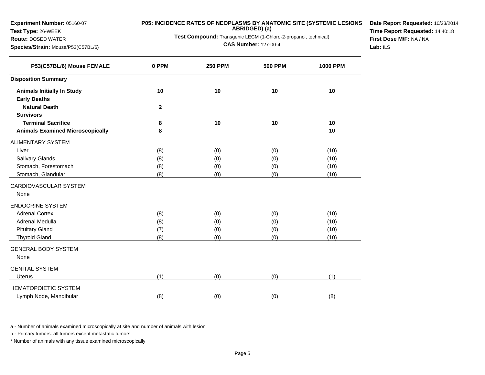**Experiment Number:** 05160-07

### **Test Type:** 26-WEEK

**Route:** DOSED WATER

**Species/Strain:** Mouse/P53(C57BL/6)

# **P05: INCIDENCE RATES OF NEOPLASMS BY ANATOMIC SITE (SYSTEMIC LESIONS ABRIDGED) (a)**

**Test Compound:** Transgenic LECM (1-Chloro-2-propanol, technical)

**CAS Number:** 127-00-4

**Date Report Requested:** 10/23/2014**Time Report Requested:** 14:40:18**First Dose M/F:** NA / NA**Lab:** ILS

| P53(C57BL/6) Mouse FEMALE               | 0 PPM        | <b>250 PPM</b> | <b>500 PPM</b> | <b>1000 PPM</b> |
|-----------------------------------------|--------------|----------------|----------------|-----------------|
| <b>Disposition Summary</b>              |              |                |                |                 |
| <b>Animals Initially In Study</b>       | 10           | 10             | 10             | 10              |
| <b>Early Deaths</b>                     |              |                |                |                 |
| <b>Natural Death</b>                    | $\mathbf{2}$ |                |                |                 |
| <b>Survivors</b>                        |              |                |                |                 |
| <b>Terminal Sacrifice</b>               | 8            | 10             | 10             | 10              |
| <b>Animals Examined Microscopically</b> | 8            |                |                | 10              |
| <b>ALIMENTARY SYSTEM</b>                |              |                |                |                 |
| Liver                                   | (8)          | (0)            | (0)            | (10)            |
| Salivary Glands                         | (8)          | (0)            | (0)            | (10)            |
| Stomach, Forestomach                    | (8)          | (0)            | (0)            | (10)            |
| Stomach, Glandular                      | (8)          | (0)            | (0)            | (10)            |
| CARDIOVASCULAR SYSTEM                   |              |                |                |                 |
| None                                    |              |                |                |                 |
| <b>ENDOCRINE SYSTEM</b>                 |              |                |                |                 |
| <b>Adrenal Cortex</b>                   | (8)          | (0)            | (0)            | (10)            |
| Adrenal Medulla                         | (8)          | (0)            | (0)            | (10)            |
| <b>Pituitary Gland</b>                  | (7)          | (0)            | (0)            | (10)            |
| <b>Thyroid Gland</b>                    | (8)          | (0)            | (0)            | (10)            |
| <b>GENERAL BODY SYSTEM</b>              |              |                |                |                 |
| None                                    |              |                |                |                 |
| <b>GENITAL SYSTEM</b>                   |              |                |                |                 |
| <b>Uterus</b>                           | (1)          | (0)            | (0)            | (1)             |
| <b>HEMATOPOIETIC SYSTEM</b>             |              |                |                |                 |
| Lymph Node, Mandibular                  | (8)          | (0)            | (0)            | (8)             |

a - Number of animals examined microscopically at site and number of animals with lesion

b - Primary tumors: all tumors except metastatic tumors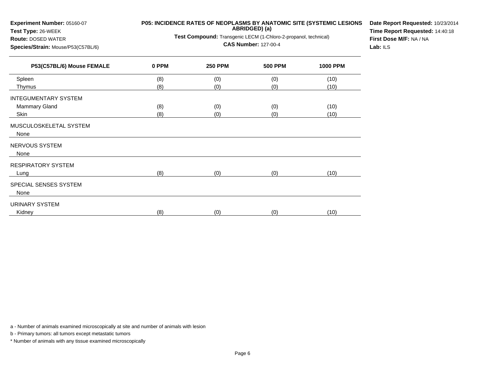| Test Type: 26-WEEK<br>Route: DOSED WATER<br>Species/Strain: Mouse/P53(C57BL/6) | ABRIDGED) (a)<br>Test Compound: Transgenic LECM (1-Chloro-2-propanol, technical)<br><b>CAS Number: 127-00-4</b> |                |                |                 |  |  |
|--------------------------------------------------------------------------------|-----------------------------------------------------------------------------------------------------------------|----------------|----------------|-----------------|--|--|
| P53(C57BL/6) Mouse FEMALE                                                      | 0 PPM                                                                                                           | <b>250 PPM</b> | <b>500 PPM</b> | <b>1000 PPM</b> |  |  |
| Spleen                                                                         | (8)                                                                                                             | (0)            | (0)            | (10)            |  |  |
| Thymus                                                                         | (8)                                                                                                             | (0)            | (0)            | (10)            |  |  |
| <b>INTEGUMENTARY SYSTEM</b>                                                    |                                                                                                                 |                |                |                 |  |  |
| Mammary Gland                                                                  | (8)                                                                                                             | (0)            | (0)            | (10)            |  |  |
| Skin                                                                           | (8)                                                                                                             | (0)            | (0)            | (10)            |  |  |
| MUSCULOSKELETAL SYSTEM<br>None                                                 |                                                                                                                 |                |                |                 |  |  |
| NERVOUS SYSTEM                                                                 |                                                                                                                 |                |                |                 |  |  |
| None                                                                           |                                                                                                                 |                |                |                 |  |  |
| RESPIRATORY SYSTEM                                                             |                                                                                                                 |                |                |                 |  |  |
| Lung                                                                           | (8)                                                                                                             | (0)            | (0)            | (10)            |  |  |
| SPECIAL SENSES SYSTEM                                                          |                                                                                                                 |                |                |                 |  |  |
| None                                                                           |                                                                                                                 |                |                |                 |  |  |
| URINARY SYSTEM                                                                 |                                                                                                                 |                |                |                 |  |  |
| Kidney                                                                         | (8)                                                                                                             | (0)            | (0)            | (10)            |  |  |
|                                                                                |                                                                                                                 |                |                |                 |  |  |

### **P05: INCIDENCE RATES OF NEOPLASMS BY ANATOMIC SITE (SYSTEMIC LESIONS**

**Date Report Requested:** 10/23/2014**Time Report Requested:** 14:40:18**First Dose M/F:** NA / NA**Lab:** ILS

a - Number of animals examined microscopically at site and number of animals with lesion

b - Primary tumors: all tumors except metastatic tumors

**Experiment Number:** 05160-07